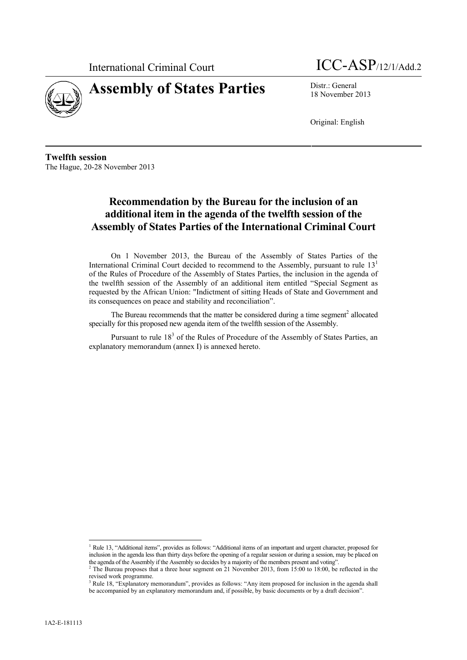

International Criminal Court ICC-ASP/12/1/Add.2

18 November 2013

Original: English

**Twelfth session** The Hague, 20-28 November 2013

# **Recommendation by the Bureau for the inclusion of an additional item in the agenda of the twelfth session of the Assembly of States Parties of the International Criminal Court**

On 1 November 2013, the Bureau of the Assembly of States Parties of the International Criminal Court decided to recommend to the Assembly, pursuant to rule  $13<sup>1</sup>$ of the Rules of Procedure of the Assembly of States Parties, the inclusion in the agenda of the twelfth session of the Assembly of an additional item entitled "Special Segment as requested by the African Union: "Indictment of sitting Heads of State and Government and its consequences on peace and stability and reconciliation".

The Bureau recommends that the matter be considered during a time segment<sup>2</sup> allocated specially for this proposed new agenda item of the twelfth session of the Assembly.

Pursuant to rule  $18<sup>3</sup>$  of the Rules of Procedure of the Assembly of States Parties, an explanatory memorandum (annex I) is annexed hereto.

<sup>&</sup>lt;sup>1</sup> Rule 13, "Additional items", provides as follows: "Additional items of an important and urgent character, proposed for inclusion in the agenda less than thirty days before the opening of a regular session or during a session, may be placed on the agenda of the Assembly if the Assembly so decides by a majority of the members present and voting".

<sup>&</sup>lt;sup>2</sup> The Bureau proposes that a three hour segment on 21 November 2013, from 15:00 to 18:00, be reflected in the revised work programme.

<sup>&</sup>lt;sup>3</sup> Rule 18, "Explanatory memorandum", provides as follows: "Any item proposed for inclusion in the agenda shall be accompanied by an explanatory memorandum and, if possible, by basic documents or by a draft decision".